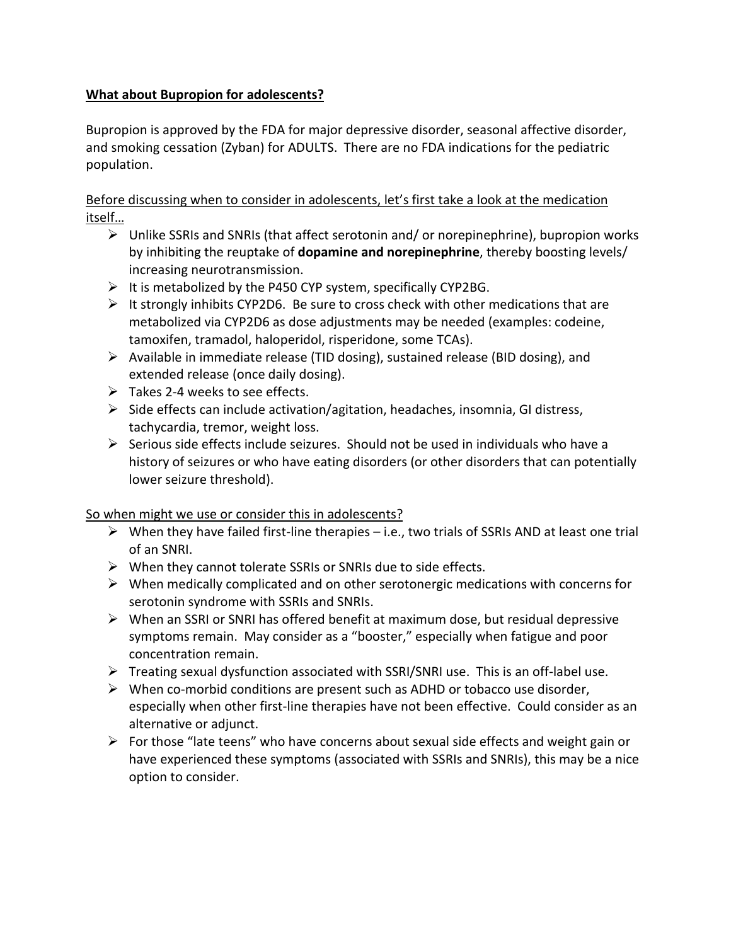## **What about Bupropion for adolescents?**

Bupropion is approved by the FDA for major depressive disorder, seasonal affective disorder, and smoking cessation (Zyban) for ADULTS. There are no FDA indications for the pediatric population.

Before discussing when to consider in adolescents, let's first take a look at the medication itself…

- $\triangleright$  Unlike SSRIs and SNRIs (that affect serotonin and/ or norepinephrine), bupropion works by inhibiting the reuptake of **dopamine and norepinephrine**, thereby boosting levels/ increasing neurotransmission.
- $\triangleright$  It is metabolized by the P450 CYP system, specifically CYP2BG.
- $\triangleright$  It strongly inhibits CYP2D6. Be sure to cross check with other medications that are metabolized via CYP2D6 as dose adjustments may be needed (examples: codeine, tamoxifen, tramadol, haloperidol, risperidone, some TCAs).
- $\triangleright$  Available in immediate release (TID dosing), sustained release (BID dosing), and extended release (once daily dosing).
- $\triangleright$  Takes 2-4 weeks to see effects.
- $\triangleright$  Side effects can include activation/agitation, headaches, insomnia, GI distress, tachycardia, tremor, weight loss.
- $\triangleright$  Serious side effects include seizures. Should not be used in individuals who have a history of seizures or who have eating disorders (or other disorders that can potentially lower seizure threshold).

## So when might we use or consider this in adolescents?

- $\triangleright$  When they have failed first-line therapies i.e., two trials of SSRIs AND at least one trial of an SNRI.
- $\triangleright$  When they cannot tolerate SSRIs or SNRIs due to side effects.
- $\triangleright$  When medically complicated and on other serotonergic medications with concerns for serotonin syndrome with SSRIs and SNRIs.
- $\triangleright$  When an SSRI or SNRI has offered benefit at maximum dose, but residual depressive symptoms remain. May consider as a "booster," especially when fatigue and poor concentration remain.
- $\triangleright$  Treating sexual dysfunction associated with SSRI/SNRI use. This is an off-label use.
- $\triangleright$  When co-morbid conditions are present such as ADHD or tobacco use disorder, especially when other first-line therapies have not been effective. Could consider as an alternative or adjunct.
- $\triangleright$  For those "late teens" who have concerns about sexual side effects and weight gain or have experienced these symptoms (associated with SSRIs and SNRIs), this may be a nice option to consider.